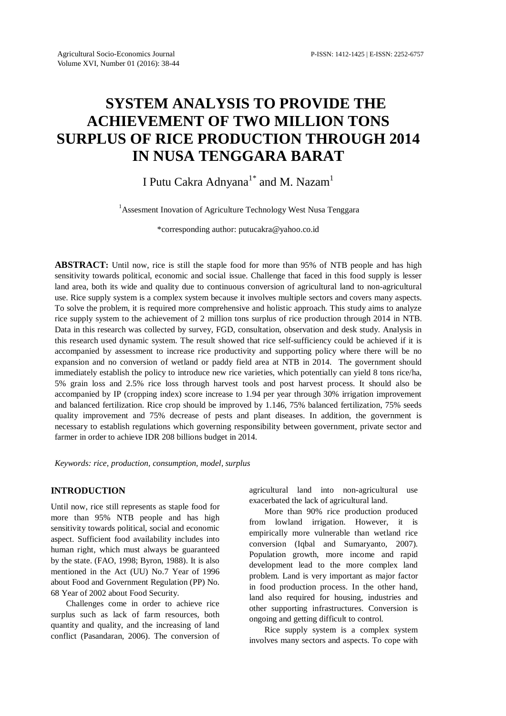# **SYSTEM ANALYSIS TO PROVIDE THE ACHIEVEMENT OF TWO MILLION TONS SURPLUS OF RICE PRODUCTION THROUGH 2014 IN NUSA TENGGARA BARAT**

## I Putu Cakra Adnyana $^{1^\ast}$  and M. Nazam $^1$

<sup>1</sup>Assesment Inovation of Agriculture Technology West Nusa Tenggara

\*corresponding author: putucakra@yahoo.co.id

**ABSTRACT:** Until now, rice is still the staple food for more than 95% of NTB people and has high sensitivity towards political, economic and social issue. Challenge that faced in this food supply is lesser land area, both its wide and quality due to continuous conversion of agricultural land to non-agricultural use. Rice supply system is a complex system because it involves multiple sectors and covers many aspects. To solve the problem, it is required more comprehensive and holistic approach. This study aims to analyze rice supply system to the achievement of 2 million tons surplus of rice production through 2014 in NTB. Data in this research was collected by survey, FGD, consultation, observation and desk study. Analysis in this research used dynamic system. The result showed that rice self-sufficiency could be achieved if it is accompanied by assessment to increase rice productivity and supporting policy where there will be no expansion and no conversion of wetland or paddy field area at NTB in 2014. The government should immediately establish the policy to introduce new rice varieties, which potentially can yield 8 tons rice/ha, 5% grain loss and 2.5% rice loss through harvest tools and post harvest process. It should also be accompanied by IP (cropping index) score increase to 1.94 per year through 30% irrigation improvement and balanced fertilization. Rice crop should be improved by 1.146, 75% balanced fertilization, 75% seeds quality improvement and 75% decrease of pests and plant diseases. In addition, the government is necessary to establish regulations which governing responsibility between government, private sector and farmer in order to achieve IDR 208 billions budget in 2014.

*Keywords: rice, production, consumption, model, surplus*

### **INTRODUCTION**

Until now, rice still represents as staple food for more than 95% NTB people and has high sensitivity towards political, social and economic aspect. Sufficient food availability includes into human right, which must always be guaranteed by the state. (FAO, 1998; Byron, 1988). It is also mentioned in the Act (UU) No.7 Year of 1996 about Food and Government Regulation (PP) No. 68 Year of 2002 about Food Security.

Challenges come in order to achieve rice surplus such as lack of farm resources, both quantity and quality, and the increasing of land conflict (Pasandaran, 2006). The conversion of

agricultural land into non-agricultural use exacerbated the lack of agricultural land.

More than 90% rice production produced from lowland irrigation. However, it is empirically more vulnerable than wetland rice conversion (Iqbal and Sumaryanto, 2007). Population growth, more income and rapid development lead to the more complex land problem. Land is very important as major factor in food production process. In the other hand, land also required for housing, industries and other supporting infrastructures. Conversion is ongoing and getting difficult to control.

Rice supply system is a complex system involves many sectors and aspects. To cope with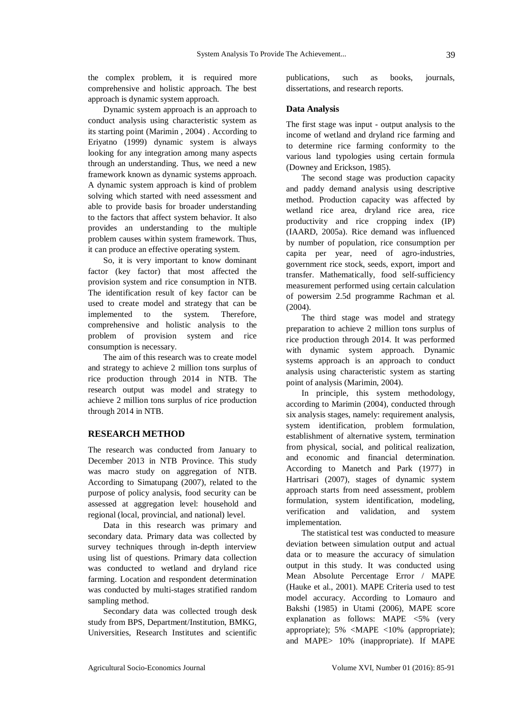the complex problem, it is required more comprehensive and holistic approach. The best approach is dynamic system approach.

Dynamic system approach is an approach to conduct analysis using characteristic system as its starting point (Marimin , 2004) . According to Eriyatno (1999) dynamic system is always looking for any integration among many aspects through an understanding. Thus, we need a new framework known as dynamic systems approach. A dynamic system approach is kind of problem solving which started with need assessment and able to provide basis for broader understanding to the factors that affect system behavior. It also provides an understanding to the multiple problem causes within system framework. Thus, it can produce an effective operating system.

So, it is very important to know dominant factor (key factor) that most affected the provision system and rice consumption in NTB. The identification result of key factor can be used to create model and strategy that can be implemented to the system. Therefore, comprehensive and holistic analysis to the problem of provision system and rice consumption is necessary.

The aim of this research was to create model and strategy to achieve 2 million tons surplus of rice production through 2014 in NTB. The research output was model and strategy to achieve 2 million tons surplus of rice production through 2014 in NTB.

#### **RESEARCH METHOD**

The research was conducted from January to December 2013 in NTB Province. This study was macro study on aggregation of NTB. According to Simatupang (2007), related to the purpose of policy analysis, food security can be assessed at aggregation level: household and regional (local, provincial, and national) level.

Data in this research was primary and secondary data. Primary data was collected by survey techniques through in-depth interview using list of questions. Primary data collection was conducted to wetland and dryland rice farming. Location and respondent determination was conducted by multi-stages stratified random sampling method.

Secondary data was collected trough desk study from BPS, Department/Institution, BMKG, Universities, Research Institutes and scientific

publications, such as books, journals, dissertations, and research reports.

#### **Data Analysis**

The first stage was input - output analysis to the income of wetland and dryland rice farming and to determine rice farming conformity to the various land typologies using certain formula (Downey and Erickson, 1985).

The second stage was production capacity and paddy demand analysis using descriptive method. Production capacity was affected by wetland rice area, dryland rice area, rice productivity and rice cropping index (IP) (IAARD, 2005a). Rice demand was influenced by number of population, rice consumption per capita per year, need of agro-industries, government rice stock, seeds, export, import and transfer. Mathematically, food self-sufficiency measurement performed using certain calculation of powersim 2.5d programme Rachman et al. (2004).

The third stage was model and strategy preparation to achieve 2 million tons surplus of rice production through 2014. It was performed with dynamic system approach. Dynamic systems approach is an approach to conduct analysis using characteristic system as starting point of analysis (Marimin, 2004).

In principle, this system methodology, according to Marimin (2004), conducted through six analysis stages, namely: requirement analysis, system identification, problem formulation, establishment of alternative system, termination from physical, social, and political realization, and economic and financial determination. According to Manetch and Park (1977) in Hartrisari (2007), stages of dynamic system approach starts from need assessment, problem formulation, system identification, modeling, verification and validation, and system implementation.

The statistical test was conducted to measure deviation between simulation output and actual data or to measure the accuracy of simulation output in this study. It was conducted using Mean Absolute Percentage Error / MAPE (Hauke et al., 2001). MAPE Criteria used to test model accuracy. According to Lomauro and Bakshi (1985) in Utami (2006), MAPE score explanation as follows: MAPE <5% (very appropriate); 5% <MAPE <10% (appropriate); and MAPE> 10% (inappropriate). If MAPE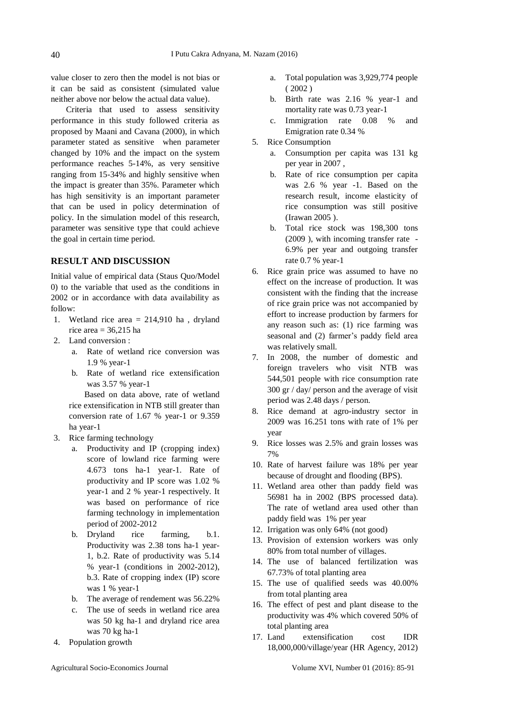value closer to zero then the model is not bias or it can be said as consistent (simulated value neither above nor below the actual data value).

Criteria that used to assess sensitivity performance in this study followed criteria as proposed by Maani and Cavana (2000), in which parameter stated as sensitive when parameter changed by 10% and the impact on the system performance reaches 5-14%, as very sensitive ranging from 15-34% and highly sensitive when the impact is greater than 35%. Parameter which has high sensitivity is an important parameter that can be used in policy determination of policy. In the simulation model of this research, parameter was sensitive type that could achieve the goal in certain time period.

#### **RESULT AND DISCUSSION**

Initial value of empirical data (Staus Quo/Model 0) to the variable that used as the conditions in 2002 or in accordance with data availability as follow:

- 1. Wetland rice area = 214,910 ha , dryland rice area  $= 36,215$  ha
- 2. Land conversion :
	- a. Rate of wetland rice conversion was 1.9 % year-1
	- b. Rate of wetland rice extensification was 3.57 % year-1

Based on data above, rate of wetland rice extensification in NTB still greater than conversion rate of 1.67 % year-1 or 9.359 ha year-1

- 3. Rice farming technology
	- a. Productivity and IP (cropping index) score of lowland rice farming were 4.673 tons ha-1 year-1. Rate of productivity and IP score was 1.02 % year-1 and 2 % year-1 respectively. It was based on performance of rice farming technology in implementation period of 2002-2012
	- b. Dryland rice farming, b.1. Productivity was 2.38 tons ha-1 year-1, b.2. Rate of productivity was 5.14 % year-1 (conditions in 2002-2012), b.3. Rate of cropping index (IP) score was 1 % year-1
	- b. The average of rendement was 56.22%
	- c. The use of seeds in wetland rice area was 50 kg ha-1 and dryland rice area was 70 kg ha-1
- 4. Population growth
- a. Total population was 3,929,774 people ( 2002 )
- b. Birth rate was 2.16 % year-1 and mortality rate was 0.73 year-1
- c. Immigration rate 0.08 % and Emigration rate 0.34 %
- 5. Rice Consumption
	- a. Consumption per capita was 131 kg per year in 2007 ,
	- b. Rate of rice consumption per capita was 2.6 % year -1. Based on the research result, income elasticity of rice consumption was still positive (Irawan 2005 ).
	- b. Total rice stock was 198,300 tons (2009 ), with incoming transfer rate - 6.9% per year and outgoing transfer rate 0.7 % year-1
- 6. Rice grain price was assumed to have no effect on the increase of production. It was consistent with the finding that the increase of rice grain price was not accompanied by effort to increase production by farmers for any reason such as: (1) rice farming was seasonal and (2) farmer's paddy field area was relatively small.
- 7. In 2008, the number of domestic and foreign travelers who visit NTB was 544,501 people with rice consumption rate 300 gr / day/ person and the average of visit period was 2.48 days / person.
- 8. Rice demand at agro-industry sector in 2009 was 16.251 tons with rate of 1% per year
- 9. Rice losses was 2.5% and grain losses was 7%
- 10. Rate of harvest failure was 18% per year because of drought and flooding (BPS).
- 11. Wetland area other than paddy field was 56981 ha in 2002 (BPS processed data). The rate of wetland area used other than paddy field was 1% per year
- 12. Irrigation was only 64% (not good)
- 13. Provision of extension workers was only 80% from total number of villages.
- 14. The use of balanced fertilization was 67.73% of total planting area
- 15. The use of qualified seeds was 40.00% from total planting area
- 16. The effect of pest and plant disease to the productivity was 4% which covered 50% of total planting area
- 17. Land extensification cost IDR 18,000,000/village/year (HR Agency, 2012)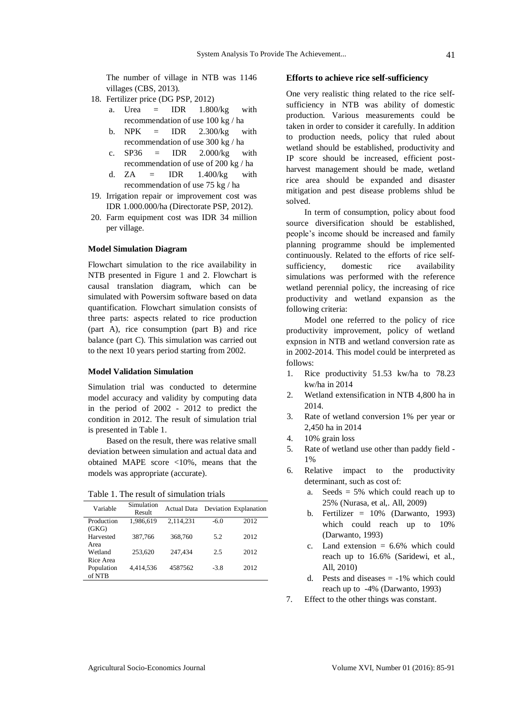The number of village in NTB was 1146 villages (CBS, 2013).

- 18. Fertilizer price (DG PSP, 2012)
	- a. Urea  $=$  IDR  $1.800/kg$  with recommendation of use 100 kg / ha
	- b.  $NPK = IDR$  2.300/kg with recommendation of use 300 kg / ha
	- c.  $SP36 = IDR$  2.000/kg with recommendation of use of 200 kg / ha
	- d.  $ZA = IDR$  1.400/kg with recommendation of use 75 kg / ha
- 19. Irrigation repair or improvement cost was IDR 1.000.000/ha (Directorate PSP, 2012).
- 20. Farm equipment cost was IDR 34 million per village.

#### **Model Simulation Diagram**

Flowchart simulation to the rice availability in NTB presented in Figure 1 and 2. Flowchart is causal translation diagram, which can be simulated with Powersim software based on data quantification. Flowchart simulation consists of three parts: aspects related to rice production (part A), rice consumption (part B) and rice balance (part C). This simulation was carried out to the next 10 years period starting from 2002.

#### **Model Validation Simulation**

Simulation trial was conducted to determine model accuracy and validity by computing data in the period of 2002 - 2012 to predict the condition in 2012. The result of simulation trial is presented in Table 1.

Based on the result, there was relative small deviation between simulation and actual data and obtained MAPE score <10%, means that the models was appropriate (accurate).

Table 1. The result of simulation trials

| Variable   | Simulation<br>Result | Actual Data |        | Deviation Explanation |
|------------|----------------------|-------------|--------|-----------------------|
| Production | 1.986.619            | 2.114.231   | $-6.0$ | 2012                  |
| (GKG)      |                      |             |        |                       |
| Harvested  | 387,766              | 368,760     | 5.2    | 2012                  |
| Area       |                      |             |        |                       |
| Wetland    | 253,620              | 247.434     | 2.5    | 2012                  |
| Rice Area  |                      |             |        |                       |
| Population | 4.414.536            | 4587562     | $-3.8$ | 2012                  |
| of NTB     |                      |             |        |                       |

#### **Efforts to achieve rice self-sufficiency**

One very realistic thing related to the rice selfsufficiency in NTB was ability of domestic production. Various measurements could be taken in order to consider it carefully. In addition to production needs, policy that ruled about wetland should be established, productivity and IP score should be increased, efficient postharvest management should be made, wetland rice area should be expanded and disaster mitigation and pest disease problems shlud be solved.

In term of consumption, policy about food source diversification should be established, people's income should be increased and family planning programme should be implemented continuously. Related to the efforts of rice selfsufficiency, domestic rice availability simulations was performed with the reference wetland perennial policy, the increasing of rice productivity and wetland expansion as the following criteria:

Model one referred to the policy of rice productivity improvement, policy of wetland expnsion in NTB and wetland conversion rate as in 2002-2014. This model could be interpreted as follows:

- 1. Rice productivity 51.53 kw/ha to 78.23 kw/ha in 2014
- 2. Wetland extensification in NTB 4,800 ha in 2014.
- 3. Rate of wetland conversion 1% per year or 2,450 ha in 2014
- 4. 10% grain loss
- 5. Rate of wetland use other than paddy field 1%
- 6. Relative impact to the productivity determinant, such as cost of:
	- a. Seeds = 5% which could reach up to 25% (Nurasa, et al,. All, 2009)
	- b. Fertilizer  $= 10\%$  (Darwanto, 1993) which could reach up to 10% (Darwanto, 1993)
	- c. Land extension  $= 6.6\%$  which could reach up to 16.6% (Saridewi, et al., All, 2010)
	- d. Pests and diseases  $= -1\%$  which could reach up to -4% (Darwanto, 1993)
- 7. Effect to the other things was constant.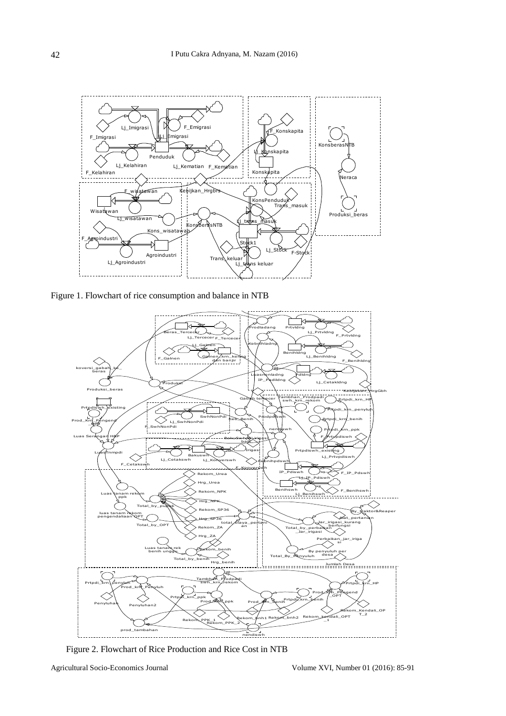

Figure 1. Flowchart of rice consumption and balance in NTB  $\alpha$ trance in  $\bf NID$ 



Figure 2. Flowchart of Rice Production and Rice Cost in NTB

cs Journal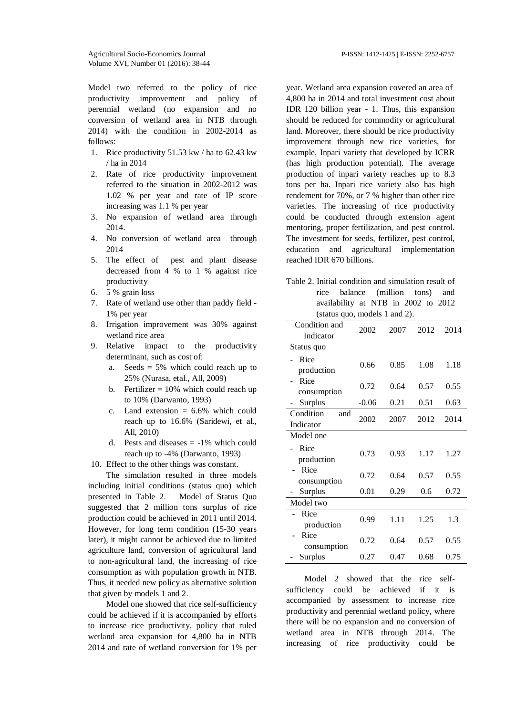Model two referred to the policy of rice productivity improvement and policy of perennial wetland (no expansion and no conversion of wetland area in NTB through 2014) with the condition in 2002-2014 as follows:

- 1. Rice productivity 51.53 kw / ha to 62.43 kw / ha in 2014
- 2. Rate of rice productivity improvement referred to the situation in 2002-2012 was 1.02 % per year and rate of IP score increasing was 1.1 % per year
- 3. No expansion of wetland area through 2014.
- 4. No conversion of wetland area through 2014
- 5. The effect of pest and plant disease decreased from 4 % to 1 % against rice productivity
- 6. 5 % grain loss
- 7. Rate of wetland use other than paddy field 1% per year
- 8. Irrigation improvement was 30% against wetland rice area
- 9. Relative impact to the productivity determinant, such as cost of:
	- a. Seeds  $= 5\%$  which could reach up to 25% (Nurasa, etal., All, 2009)
	- b. Fertilizer  $= 10\%$  which could reach up to 10% (Darwanto, 1993)
	- c. Land extension  $= 6.6\%$  which could reach up to 16.6% (Saridewi, et al., All, 2010)
	- d. Pests and diseases  $= -1\%$  which could reach up to -4% (Darwanto, 1993)
- 10. Effect to the other things was constant.

The simulation resulted in three models including initial conditions (status quo) which presented in Table 2. Model of Status Quo suggested that 2 million tons surplus of rice production could be achieved in 2011 until 2014. However, for long term condition (15-30 years later), it might cannot be achieved due to limited agriculture land, conversion of agricultural land to non-agricultural land, the increasing of rice consumption as with population growth in NTB. Thus, it needed new policy as alternative solution that given by models 1 and 2.

Model one showed that rice self-sufficiency could be achieved if it is accompanied by efforts to increase rice productivity, policy that ruled wetland area expansion for 4,800 ha in NTB 2014 and rate of wetland conversion for 1% per year. Wetland area expansion covered an area of 4,800 ha in 2014 and total investment cost about IDR 120 billion year - 1. Thus, this expansion should be reduced for commodity or agricultural land. Moreover, there should be rice productivity improvement through new rice varieties, for example, Inpari variety that developed by ICRR (has high production potential). The average production of inpari variety reaches up to 8.3 tons per ha. Inpari rice variety also has high rendement for 70%, or 7 % higher than other rice varieties. The increasing of rice productivity could be conducted through extension agent mentoring, proper fertilization, and pest control. The investment for seeds, fertilizer, pest control, education and agricultural implementation reached IDR 670 billions.

Table 2. Initial condition and simulation result of rice balance (million tons) and availability at NTB in 2002 to 2012 (status quo, models 1 and 2).

| Condition and<br>Indicator    | 2002    | 2007 | 2012 | 2014 |  |  |
|-------------------------------|---------|------|------|------|--|--|
| Status quo                    |         |      |      |      |  |  |
| Rice<br>production            | 0.66    | 0.85 | 1.08 | 1.18 |  |  |
| Rice<br>consumption           | 0.72    | 0.64 | 0.57 | 0.55 |  |  |
| <b>Surplus</b>                | $-0.06$ | 0.21 | 0.51 | 0.63 |  |  |
| Condition<br>and<br>Indicator | 2002    | 2007 | 2012 | 2014 |  |  |
| Model one                     |         |      |      |      |  |  |
| Rice<br>production            | 0.73    | 0.93 | 1.17 | 1.27 |  |  |
| Rice<br>consumption           | 0.72    | 0.64 | 0.57 | 0.55 |  |  |
| Surplus                       | 0.01    | 0.29 | 0.6  | 0.72 |  |  |
| Model two                     |         |      |      |      |  |  |
| Rice<br>production            | 0.99    | 1.11 | 1.25 | 1.3  |  |  |
| Rice<br>consumption           | 0.72    | 0.64 | 0.57 | 0.55 |  |  |
| Surplus                       | 0.27    | 0.47 | 0.68 | 0.75 |  |  |

Model 2 showed that the rice selfsufficiency could be achieved if it is accompanied by assessment to increase rice productivity and perennial wetland policy, where there will be no expansion and no conversion of wetland area in NTB through 2014. The increasing of rice productivity could be